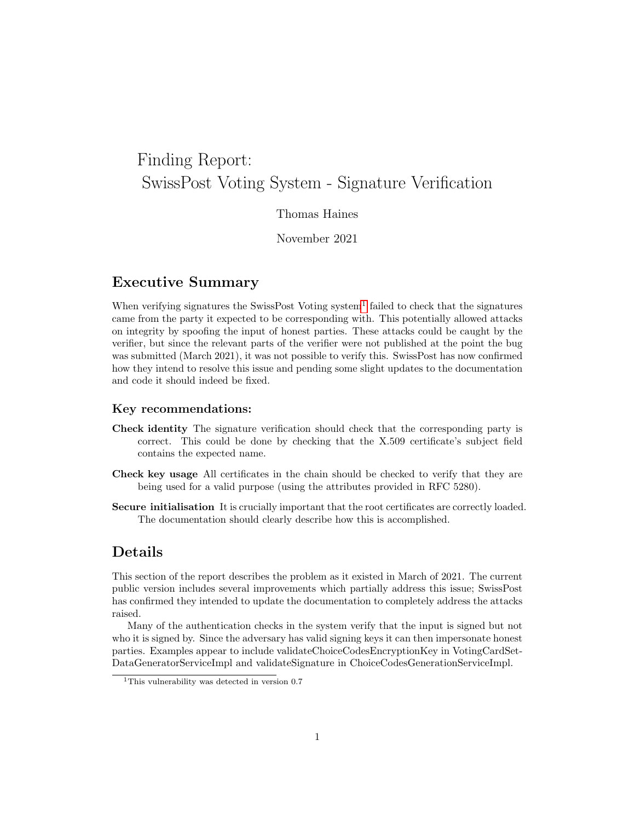# Finding Report: SwissPost Voting System - Signature Verification

#### Thomas Haines

November 2021

#### Executive Summary

When verifying signatures the SwissPost Voting system<sup>[1](#page-0-0)</sup> failed to check that the signatures came from the party it expected to be corresponding with. This potentially allowed attacks on integrity by spoofing the input of honest parties. These attacks could be caught by the verifier, but since the relevant parts of the verifier were not published at the point the bug was submitted (March 2021), it was not possible to verify this. SwissPost has now confirmed how they intend to resolve this issue and pending some slight updates to the documentation and code it should indeed be fixed.

#### Key recommendations:

- Check identity The signature verification should check that the corresponding party is correct. This could be done by checking that the X.509 certificate's subject field contains the expected name.
- Check key usage All certificates in the chain should be checked to verify that they are being used for a valid purpose (using the attributes provided in RFC 5280).
- Secure initialisation It is crucially important that the root certificates are correctly loaded. The documentation should clearly describe how this is accomplished.

## Details

This section of the report describes the problem as it existed in March of 2021. The current public version includes several improvements which partially address this issue; SwissPost has confirmed they intended to update the documentation to completely address the attacks raised.

Many of the authentication checks in the system verify that the input is signed but not who it is signed by. Since the adversary has valid signing keys it can then impersonate honest parties. Examples appear to include validateChoiceCodesEncryptionKey in VotingCardSet-DataGeneratorServiceImpl and validateSignature in ChoiceCodesGenerationServiceImpl.

<span id="page-0-0"></span><sup>&</sup>lt;sup>1</sup>This vulnerability was detected in version 0.7